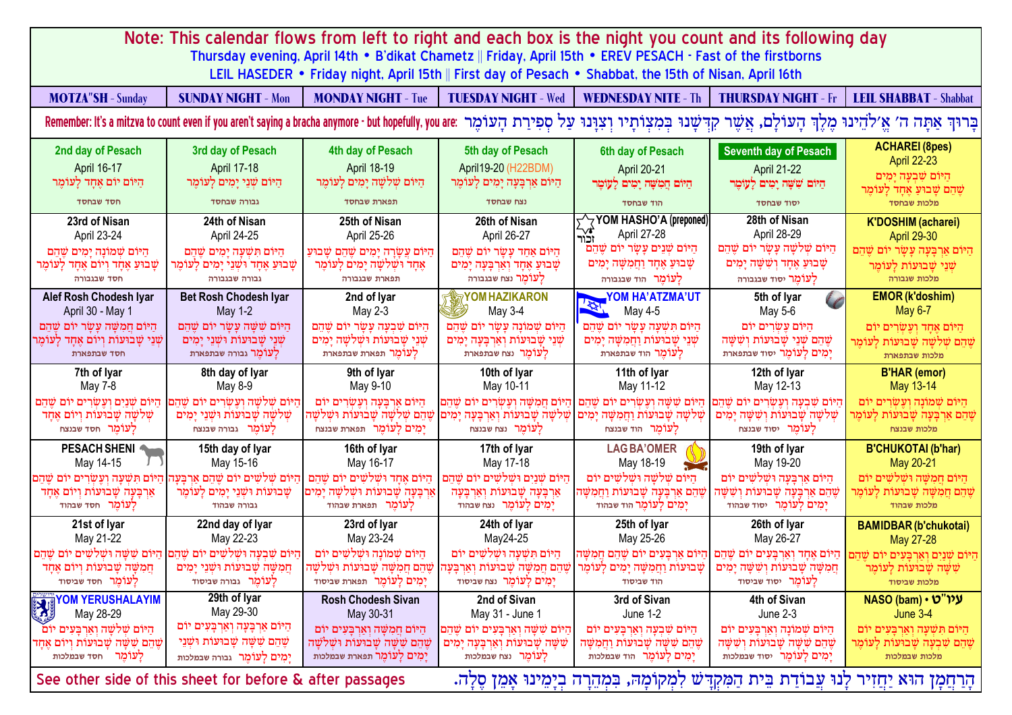| Note: This calendar flows from left to right and each box is the night you count and its following day                                                                                                                       |                                                                                                                                                                                                   |                                                                                                                                            |                                                                                                                                              |                                                                                                                                                                                                                                          |                                                                                                                                                    |                                                                                                                                       |
|------------------------------------------------------------------------------------------------------------------------------------------------------------------------------------------------------------------------------|---------------------------------------------------------------------------------------------------------------------------------------------------------------------------------------------------|--------------------------------------------------------------------------------------------------------------------------------------------|----------------------------------------------------------------------------------------------------------------------------------------------|------------------------------------------------------------------------------------------------------------------------------------------------------------------------------------------------------------------------------------------|----------------------------------------------------------------------------------------------------------------------------------------------------|---------------------------------------------------------------------------------------------------------------------------------------|
| Thursday evening, April 14th • B'dikat Chametz    Friday, April 15th • EREV PESACH - Fast of the firstborns<br>LEIL HASEDER • Friday night, April 15th    First day of Pesach • Shabbat, the 15th of Nisan, April 16th       |                                                                                                                                                                                                   |                                                                                                                                            |                                                                                                                                              |                                                                                                                                                                                                                                          |                                                                                                                                                    |                                                                                                                                       |
| <b>MOTZA"SH - Sunday</b>                                                                                                                                                                                                     | <b>SUNDAY NIGHT - Mon</b>                                                                                                                                                                         | <b>MONDAY NIGHT - Tue</b>                                                                                                                  | <b>TUESDAY NIGHT - Wed</b>                                                                                                                   | <b>WEDNESDAY NITE - Th</b>                                                                                                                                                                                                               | <b>THURSDAY NIGHT - Fr</b>                                                                                                                         | <b>LEIL SHABBAT - Shabbat</b>                                                                                                         |
| בָּרוּךְ אַתָּה ה׳ אֱ׳לֹהֵינוּ מֶלֶךְ הָעוֹלָם, אֲשֶׁר קִדִּשָׁנוּ בִּמִצִוֹתָיוּ וְצִוָּנוּ עַל סִפִירַת הְעוֹכִים, אֲשֶׁר קִדִּשָׁנוּ בִּמִצִוֹתָיוּ וְצִוָּנוּ עַל סִפִירַת הְעוֹכְה אוֹ הַעוֹלִם, אֲשֶׁר קִדִּשָׁנוּ בִּ |                                                                                                                                                                                                   |                                                                                                                                            |                                                                                                                                              |                                                                                                                                                                                                                                          |                                                                                                                                                    |                                                                                                                                       |
| 2nd day of Pesach<br>April 16-17<br>הַיּוֹם יוֹם אֱחָד לַעּוֹמֵר<br>חסד שבחסד                                                                                                                                                | 3rd day of Pesach<br><b>April 17-18</b><br>הַיּוֹם שָׁנֵי יַמִים לַעוֹמֵר<br>גבורה שבחסד                                                                                                          | 4th day of Pesach<br>April 18-19<br>הַיּוֹם שִׁלשָׁה יָמִים לַעּוֹמֵר<br>תפארת שבחסד                                                       | 5th day of Pesach<br>April 19-20 (H22BDM)<br>הַיּוֹם אַרְבַּעָה יָמִים לַעוֹמֵר<br>נצח שבחסד                                                 | 6th day of Pesach<br>April 20-21<br>הַיּוֹם הֵמִשָּׁה יָמִים לָעוֹמֵר<br>הוד שבחסד                                                                                                                                                       | <b>Seventh day of Pesach</b><br><b>April 21-22</b><br>הַיּוֹם שִׁשָּׁה יָמִים לַעוֹמֵר<br>יסוד שבחסד                                               | <b>ACHAREI (8pes)</b><br><b>April 22-23</b><br>היום שבעה ימים<br>שֵׁהֵם שַׁבוּעַ אֵחָד לַעוֹמֵר<br>מלכות שבחסד                        |
| 23rd of Nisan<br>April 23-24<br>היום שמונה ימים שהם<br>שַׁבוּעַ אֶחָד וִיוֹם אֶחָד לָעוֹמֵר<br>חסד שבגבורה                                                                                                                   | 24th of Nisan<br>April 24-25<br>היוֹם תּשׁעה ימים שׁהם<br>שָׁבוּעַ אֶחָד וּשָׁנֵי יָמִים לַעוֹמֵר<br>גבורה שבגבורה                                                                                | 25th of Nisan<br>April 25-26<br>היוֹם עֲשֵׂרָה יַמִים שֶׁהֶם שַׁבוּעַ<br>אֵחָד וּשָׁלְשָׁה יָמִים לַעוֹמֵר<br>תפארת שבגבורה                | 26th of Nisan<br>April 26-27<br>הַיּוֹם אַחָד עַשַׂר יוֹם שֵׁהֵם<br>שָׁבוּעַ אֶחָד וְאַרְבָּעָה יָמִים<br>לעומר נצח שבגבורה                  | YOM HASHO'A (preponed)<br>יער∱<br>זכור<br>April 27-28<br>הַיּוֹם שָׁנֵים עַשָׂר יוֹם שֵׁהֵם<br>שַׁבוּעַ אֱחָד וַחֲמִשָּׁה יָמִים<br>לַעוֹמֻר הוד שבגבורה                                                                                 | 28th of Nisan<br>April 28-29<br>הַיּוֹם שָׁלְשָׁה עַשָׂר יוֹם שֵׁהֵם<br>שָׁבוּעַ אֱחָד וִשָּׁשָּׁה יָמִים<br>לעומר יסוד שבגבורה                    | <b>K'DOSHIM (acharei)</b><br><b>April 29-30</b><br>היּוֹם אַרְבַּעַה עַשַׂר יוֹם שֵׁהֵם<br>שַׁנֵי שַׁבוּעוֹת לַעוֹמֵר<br>מלכות שגבורה |
| Alef Rosh Chodesh Iyar<br>April 30 - May 1<br>הַיּוֹם חֲמִשָּׁה עַשַׂר יוֹם שֵׁהם<br>שָׁנֵי שַׁבוּעוֹת וְיוֹם אֵחָד לַעוֹמֵר<br>חסד שבתפארת                                                                                  | <b>Bet Rosh Chodesh Iyar</b><br>May 1-2<br>היּוֹם שׁשׁה עשׂר יוֹם שׁהם<br>שׁנֵי שַׁבוּעוֹת וּשׁנֵי יַמִים<br>לעומר גבורה שבתפארת                                                                  | 2nd of lyar<br>May 2-3<br>היום שבעה עשר יום שהם<br>שׁנֵי שַׁבוּעוֹת וּשׁלֹשַׁה יַמִים<br>לעומר תפארת שבתפארת                               | <b>YOM HAZIKARON</b><br>May 3-4<br>היום שמונה עשר יום שהם<br>שָׁנֵי שַׁבוּעוֹת וְאַרְבַּעַה יַמִים<br>לַעוֹמֵר נצח שבתפארת                   | <b>YOM HA'ATZMA'UT</b><br><b>ASSESS</b><br>May 4-5<br>היום תשעה עשר יום שהם<br>שׁנֵי שַׁבוּעוֹת וַחֲמֹשֵׁה יַמִים<br>לעומר הוד שבתפארת                                                                                                   | 5th of lyar<br>May 5-6<br>היום עשרים יום<br>שהם שני שבועות וששה<br>יַמִים לְעוֹמֶר יסוד שבתפארת                                                    | <b>EMOR (k'doshim)</b><br>May 6-7<br>היּוֹם אחד ועשׂרים יוֹם<br>שֵׁהֵם שָׁלִשַּׁה שַׁבוּעוֹת לַעוֹמֵר<br>מלכות שבתפארת                |
| 7th of Iyar<br>May 7-8                                                                                                                                                                                                       | 8th day of Iyar<br>May 8-9                                                                                                                                                                        | 9th of Iyar<br>May 9-10                                                                                                                    | 10th of lyar<br>May 10-11                                                                                                                    | 11th of Iyar<br>May 11-12                                                                                                                                                                                                                | 12th of lyar<br>May 12-13                                                                                                                          | <b>B'HAR (emor)</b><br>May 13-14                                                                                                      |
| היוֹם שׁנים ועשׂרים יוֹם שׁהם<br>שלשה שבועות ויום אחד<br>לעומר חסד שבנצח                                                                                                                                                     | היום שלשה ועשרים יום שהם<br>שלשה שבועות ושני ימים<br>לעומר גבורה שבנצח                                                                                                                            | היום ארבעה ועשרים יום<br>ימים לעומר תפארת שבנצח                                                                                            | היוֹם חמשׁה ועשׂרים יוֹם שׁהם<br>שְׁלְשָׁה שַׁבוּעוֹת וְאַרְבָּעָה יָמִים  שֵׁהֵם שִׁלְשַׁה שַׁבוּעוֹת וּשׁלְשַׁה<br>ל <b>עומר</b> נצח שבנצח | היום ששה ועשרים יום שהם<br>שלשה שבועות וחמשה ימים<br>לֲעוֹמֵר הוד שבנצח                                                                                                                                                                  | היוֹם שׁבעה ועשׂרים יוֹם שׁהם<br>שלשה שבועות וששה ימים<br>לַעוֹמֵר יסוד שבנצח                                                                      | היוֹם שׁמוֹנה ועשׂרים יוֹם<br>שֵׁהֵם אַרִבְּעָה שָׁבוּעוֹת לַעוֹמֵר<br>מלכות שבנצח                                                    |
| PESACH SHENI<br>May 14-15                                                                                                                                                                                                    | 15th day of Iyar<br>May 15-16                                                                                                                                                                     | 16th of Iyar<br>May 16-17                                                                                                                  | 17th of Iyar<br>May 17-18                                                                                                                    | <b>LAGBA'OMER</b><br>May 18-19                                                                                                                                                                                                           | 19th of Iyar<br>May 19-20                                                                                                                          | <b>B'CHUKOTAI (b'har)</b><br>May 20-21                                                                                                |
| היום תשעה ועשרים יום שהם<br>ארבעה שבועות ויום אחד<br>לַעוֹמֵר חסד שבהוד                                                                                                                                                      | היום שלשים יום שהם ארבעה<br>שָׁבוּעוֹת וּשָׁנֵי יָמִים לָעוֹמֵר<br>גבורה שבהוד                                                                                                                    | היום אחד וּשׁלשים יוֹם שהם<br>אַרבַּעַה שַׁבוּעוֹת וּשַׁלְשַׁה יַמִים<br>לַעוֹמֶר תפארת שבהוד                                              | היום שנים ושלשים יום שהם<br>ארבעה שבועות וארבעה<br>יָמְים לְעוֹמֵר נצח שבהוד                                                                 | היום שלשה וּשׁלשים יוֹם<br>שֶׁהֵם אַרבַּעַה שַׁבוּעוֹת וַחִמַשַּׁה<br>יָמִים לַעוֹמֵר הּוד שבהוד                                                                                                                                         | היום ארבעה וּשׁלשים יוֹם<br>שֶׁהֶם אַרבַּעַה שַׁבוּעוֹת וִשָּׁשָׁה<br>יַמְים לַעוֹמֵר יסוד שבהוד                                                   | היום חמשה ושלשים יום<br>שֶׁהֵם חֲמִשָּׁה שַׁבוּעוֹת לַעוֹמֵר<br>מלכות שבהוד                                                           |
| 21st of Iyar<br>May 21-22                                                                                                                                                                                                    | 22nd day of lyar<br>May 22-23                                                                                                                                                                     | 23rd of lyar<br>May 23-24                                                                                                                  | 24th of Iyar<br>May24-25                                                                                                                     | 25th of Iyar<br>May 25-26                                                                                                                                                                                                                | 26th of lyar<br>May 26-27                                                                                                                          | <b>BAMIDBAR (b'chukotai)</b><br>May 27-28                                                                                             |
| חמשה שבועות ויום אחד<br>לעומר חסד שביסוד                                                                                                                                                                                     | הַיּוֹם שָׁבְעָה וּשָׁלֹשִׁים יוֹם שֵׁהֵם  הַיּוֹם שָׁשָּׁה וּשָׁלֹשִׁים יוֹם שֵׁהֵם<br>ּחֲמִשָּׁה שַׁבוּעוֹת וּשָׁנֵי יַמִים<br>לַעוֹמֵר גבורה שביסוד                                            | היום שמונה ושלשים יום<br>יַמְים לַעוֹמֵר תפארת שביסוד                                                                                      | היום תשעה ושלשים יום<br>ן שֶהֵם חֲמִשָּׁה שָבוּעוֹת וְאַרְבָּעָהן שֶׁהֵם חֲמִשָּׁה שָׁבוּעוֹת וּשִׁלֹשָׁה <br>יַמְים לַעוֹמֵר נצח שביסוד     | היום ארבעים יום שהם חמשה<br>שָׁבוּעוֹת וַחֲמִשָּׁה יָמִים לָעוֹמֵר<br>הוד שביסוד                                                                                                                                                         | הַיּוֹם שַׁנֵיִם וְאַרְבַּעִים יוֹם שֵׁהֶם  הַיּוֹם אֲחָד וְאַרְבַּעִים יוֹם שֵׁהֵם<br>חֲמִשָּׁה שָׁבוּעוֹת וְשִׁשָּׁה יָמִים<br>לעומר יסוד שביסוד | שְשָׁה שָבוּעות לַעוּמֵר<br>מלכות שביסוד                                                                                              |
| <b>EXAMPLE TO A TERUSHALAYIM</b><br>היום שלשה וארבעים יום<br>שֶׁהֵם שַׁשָּׁה שַׁבוּעוֹת וִיוֹם אַחִד<br>לַעוֹמֵר חסד שבמלכות                                                                                                 | 29th of Iyar<br>May 29-30<br>הַיּוֹם אַרְבָּעָה וְאַרְבָּעִים יוֹם<br>שֵׁהֵם שָׁשָּׁה שַׁבוּעוֹת וּשָׁנֵי<br>ימים לעומר גבורה שבמלכות<br>See other side of this sheet for before & after passages | <b>Rosh Chodesh Sivan</b><br>May 30-31<br>היום חמשה וארבעים יום<br>שֶׁהֵם שַׁשַּׁה שַׁבוּעוֹת וּשַׁלֹשַׁה<br>יַמְים לַעוֹמֵר תפארת שבמלכות | 2nd of Sivan<br>May 31 - June 1<br>היום ששה וארבעים יום שהם<br>שָׁשָּׁה שַׁבוּעוֹת וְאַרְבַּעַה יַמְים<br>לעומר נצח שבמלכות                  | 3rd of Sivan<br>June 1-2<br>היום שבעה וארבעים יום<br>שֶׁהֵם שַׁשָּׁה שַׁבוּעוֹת וַחִמַשֵּׁה<br>יַמְים לַעוֹמֶר הוד שבמלכות<br>ּהָרַחֲמָן הוּא יַחֲזִיר לָנוּ עֲבוֹדַת בֵּית הַמִּקְדַּשׁ לִמְקוֹמָהּ, בִּמְהֵרָה בְיָמֵינוּ אַמֵן סֵלַה. | 4th of Sivan<br>June 2-3<br>היום שמונה וארבעים יום<br>שֶׁהֵם שָׁשָּׁה שַׁבוּעוֹת וְשָׁשֵּׁה<br>יַמְים לַעוֹמֵר יסוד שבמלכות                        | NASO (bam) • עיו"ט<br>June 3-4<br>היום תשעה וארבעים יום<br>שֵׁהֵם שִׁבְעָה שַׁבוּעוֹת לַעוֹמֵר<br>מלכות שבמלכות                       |